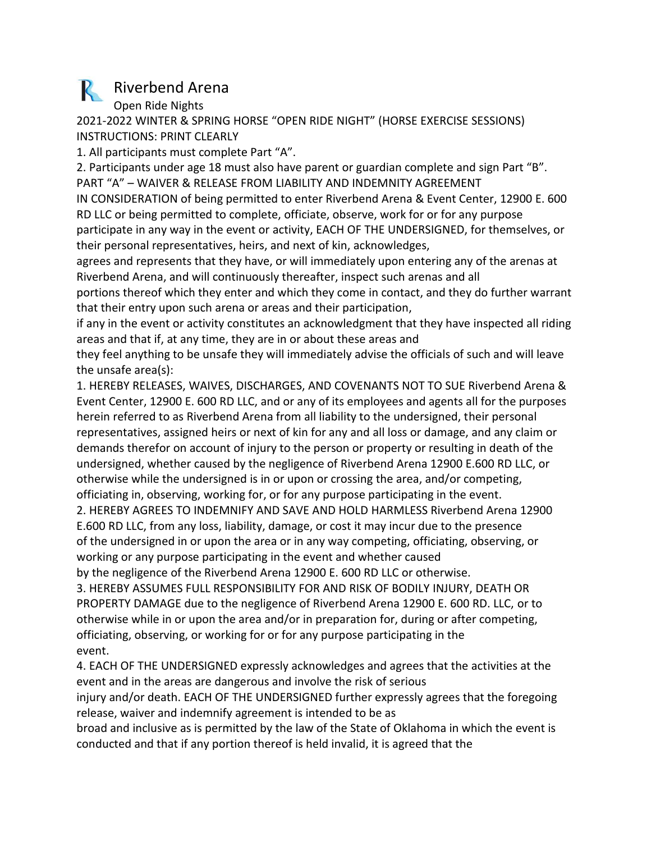## R Riverbend Arena

Open Ride Nights

2021-2022 WINTER & SPRING HORSE "OPEN RIDE NIGHT" (HORSE EXERCISE SESSIONS) INSTRUCTIONS: PRINT CLEARLY

1. All participants must complete Part "A".

2. Participants under age 18 must also have parent or guardian complete and sign Part "B". PART "A" – WAIVER & RELEASE FROM LIABILITY AND INDEMNITY AGREEMENT

IN CONSIDERATION of being permitted to enter Riverbend Arena & Event Center, 12900 E. 600 RD LLC or being permitted to complete, officiate, observe, work for or for any purpose participate in any way in the event or activity, EACH OF THE UNDERSIGNED, for themselves, or their personal representatives, heirs, and next of kin, acknowledges,

agrees and represents that they have, or will immediately upon entering any of the arenas at Riverbend Arena, and will continuously thereafter, inspect such arenas and all

portions thereof which they enter and which they come in contact, and they do further warrant that their entry upon such arena or areas and their participation,

if any in the event or activity constitutes an acknowledgment that they have inspected all riding areas and that if, at any time, they are in or about these areas and

they feel anything to be unsafe they will immediately advise the officials of such and will leave the unsafe area(s):

1. HEREBY RELEASES, WAIVES, DISCHARGES, AND COVENANTS NOT TO SUE Riverbend Arena & Event Center, 12900 E. 600 RD LLC, and or any of its employees and agents all for the purposes herein referred to as Riverbend Arena from all liability to the undersigned, their personal representatives, assigned heirs or next of kin for any and all loss or damage, and any claim or demands therefor on account of injury to the person or property or resulting in death of the undersigned, whether caused by the negligence of Riverbend Arena 12900 E.600 RD LLC, or otherwise while the undersigned is in or upon or crossing the area, and/or competing, officiating in, observing, working for, or for any purpose participating in the event.

2. HEREBY AGREES TO INDEMNIFY AND SAVE AND HOLD HARMLESS Riverbend Arena 12900 E.600 RD LLC, from any loss, liability, damage, or cost it may incur due to the presence of the undersigned in or upon the area or in any way competing, officiating, observing, or working or any purpose participating in the event and whether caused

by the negligence of the Riverbend Arena 12900 E. 600 RD LLC or otherwise.

3. HEREBY ASSUMES FULL RESPONSIBILITY FOR AND RISK OF BODILY INJURY, DEATH OR PROPERTY DAMAGE due to the negligence of Riverbend Arena 12900 E. 600 RD. LLC, or to otherwise while in or upon the area and/or in preparation for, during or after competing, officiating, observing, or working for or for any purpose participating in the event.

4. EACH OF THE UNDERSIGNED expressly acknowledges and agrees that the activities at the event and in the areas are dangerous and involve the risk of serious

injury and/or death. EACH OF THE UNDERSIGNED further expressly agrees that the foregoing release, waiver and indemnify agreement is intended to be as

broad and inclusive as is permitted by the law of the State of Oklahoma in which the event is conducted and that if any portion thereof is held invalid, it is agreed that the